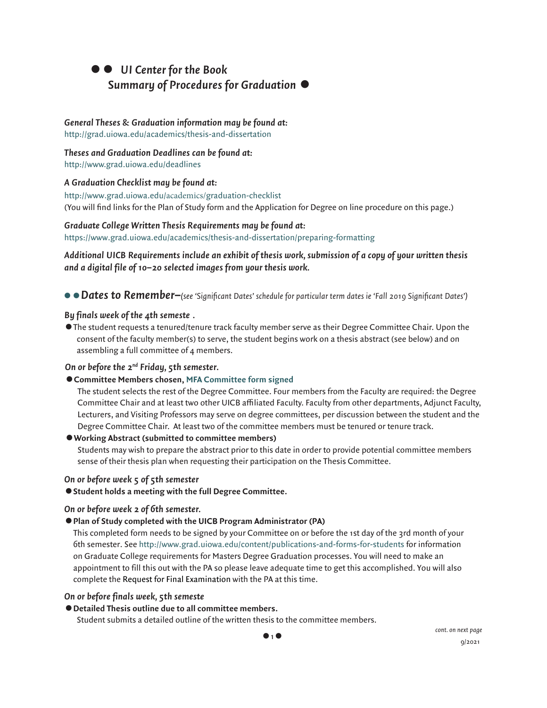# •• *UI Center for the Book Summary of Procedures for Graduation* •

# *General Theses & Graduation information may be found at:*

[http://grad.uiowa.edu/academics/thesis-and-dissertation](https://grad.uiowa.edu/academics/thesis-and-dissertation)

### *Theses and Graduation Deadlines can be found at:*

[http://www.grad.uiowa.edu/dea](http://www.grad.uiowa.edu/deadlinesA)dlines

# *[A Graduation Checklist may be found a](http://www.grad.uiowa.edu/deadlines)t:*

[http://www.grad.uiowa.edu/](https://grad.uiowa.edu/academics/graduation-checklist)academics/graduation-checklist (You will find links for the Plan of Study form and the Application for Degree on line procedure on this page.)

# *Graduate College Written Thesis Requirements may be found at:*

[https://www.grad.uiowa.edu/academics/thesis-and-dissertation/preparing-for](https://www.grad.uiowa.edu/academics/thesis-and-dissertation/preparing-formattingAdditional)[matting](https://www.grad.uiowa.edu/academics/thesis-and-dissertation/preparing-formatting)

# *[Additional UICB Requirements include an exhibit of thesis work, submission of a copy](https://www.grad.uiowa.edu/academics/thesis-and-dissertation/preparing-formatting) of your written thesis and a digital file of 10–20 selected images from your thesis work.*

••*Dates to Remember–(see 'Significant Dates' schedule for particular term dates ie 'Fall 2019 Significant Dates')*

# *By finals week of the 4th semeste .*

•The student requests a tenured/tenure track faculty member serve as their Degree Committee Chair. Upon the consent of the faculty member(s) to serve, the student begins work on a thesis abstract (see below) and on assembling a full committee of 4 members.

# *On or before the 2nd Friday, 5th semester.*

# •**Committee Members chosen, [MFA Committee form signed](https://book.grad.uiowa.edu/sites/book/files/MFA%20Degree%20Committee%20Form%20-%202021.pdf)**

The student selects the rest of the Degree Committee. Four members from the Faculty are required: the Degree Committee Chair and at least two other UICB affiliated Faculty. Faculty from other departments, Adjunct Faculty, Lecturers, and Visiting Professors may serve on degree committees, per discussion between the student and the Degree Committee Chair. At least two of the committee members must be tenured or tenure track.

# •**Working Abstract (submitted to committee members)**

Students may wish to prepare the abstract prior to this date in order to provide potential committee members sense of their thesis plan when requesting their participation on the Thesis Committee.

# *On or before week 5 of 5th semester*

•**Student holds a meeting with the full Degree Committee.**

# *On or before week 2 of 6th semester.*

# •**Plan of Study completed with the UICB Program Administrator (PA)**

This completed form needs to be signed by your Committee on or before the 1st day of the 3rd month of your 6th semester. See [http://www.grad.uiowa.edu/content/publications-and-forms-for-students for](http://www.grad.uiowa.edu/content/publications-and-forms-for-students) information on Graduate College requirements for Masters Degree Graduation processes. You will need to make an appointment to fill this out with the PA so please leave adequate time to get this accomplished. You will also complete the Request for Final Examination with the PA at this time.

### *On or before finals week, 5th semeste*

### •**Detailed Thesis outline due to all committee members.**

Student submits a detailed outline of the written thesis to the committee members.